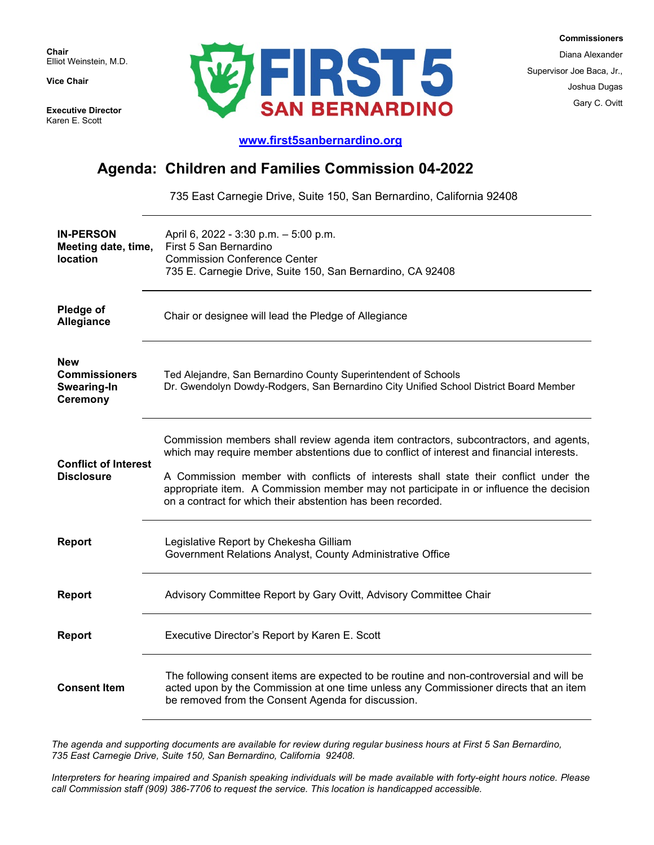**Chair** Elliot Weinstein, M.D.

**Vice Chair**

**Executive Director** Karen E. Scott 



**[www.first5sanbernardino.org](http://www.first5sanbernardino.org/)**

## **Agenda: Children and Families Commission 04-2022**

735 East Carnegie Drive, Suite 150, San Bernardino, California 92408

| <b>IN-PERSON</b><br>Meeting date, time,<br><b>location</b>           | April 6, 2022 - 3:30 p.m. - 5:00 p.m.<br>First 5 San Bernardino<br><b>Commission Conference Center</b><br>735 E. Carnegie Drive, Suite 150, San Bernardino, CA 92408                                                                                                                                                                                                                                                               |
|----------------------------------------------------------------------|------------------------------------------------------------------------------------------------------------------------------------------------------------------------------------------------------------------------------------------------------------------------------------------------------------------------------------------------------------------------------------------------------------------------------------|
| Pledge of<br>Allegiance                                              | Chair or designee will lead the Pledge of Allegiance                                                                                                                                                                                                                                                                                                                                                                               |
| <b>New</b><br><b>Commissioners</b><br>Swearing-In<br><b>Ceremony</b> | Ted Alejandre, San Bernardino County Superintendent of Schools<br>Dr. Gwendolyn Dowdy-Rodgers, San Bernardino City Unified School District Board Member                                                                                                                                                                                                                                                                            |
| <b>Conflict of Interest</b><br><b>Disclosure</b>                     | Commission members shall review agenda item contractors, subcontractors, and agents,<br>which may require member abstentions due to conflict of interest and financial interests.<br>A Commission member with conflicts of interests shall state their conflict under the<br>appropriate item. A Commission member may not participate in or influence the decision<br>on a contract for which their abstention has been recorded. |
| Report                                                               | Legislative Report by Chekesha Gilliam<br>Government Relations Analyst, County Administrative Office                                                                                                                                                                                                                                                                                                                               |
| Report                                                               | Advisory Committee Report by Gary Ovitt, Advisory Committee Chair                                                                                                                                                                                                                                                                                                                                                                  |
| <b>Report</b>                                                        | Executive Director's Report by Karen E. Scott                                                                                                                                                                                                                                                                                                                                                                                      |
| <b>Consent Item</b>                                                  | The following consent items are expected to be routine and non-controversial and will be<br>acted upon by the Commission at one time unless any Commissioner directs that an item<br>be removed from the Consent Agenda for discussion.                                                                                                                                                                                            |

*The agenda and supporting documents are available for review during regular business hours at First 5 San Bernardino, 735 East Carnegie Drive, Suite 150, San Bernardino, California 92408.* 

*Interpreters for hearing impaired and Spanish speaking individuals will be made available with forty-eight hours notice. Please call Commission staff (909) 386-7706 to request the service. This location is handicapped accessible.*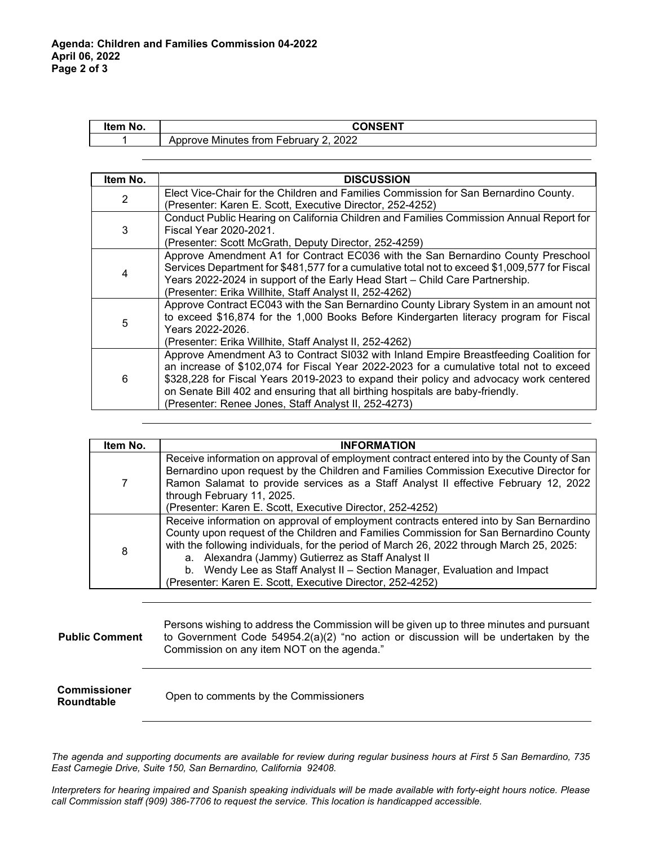| No.<br><b><i>COMMA COMMA COMMA COMMA</i></b> | .                                                     |
|----------------------------------------------|-------------------------------------------------------|
|                                              | 2022<br><b>February</b><br>Annrove<br>Minutes<br>trom |

| Item No.       | <b>DISCUSSION</b>                                                                             |
|----------------|-----------------------------------------------------------------------------------------------|
| $\overline{2}$ | Elect Vice-Chair for the Children and Families Commission for San Bernardino County.          |
|                | (Presenter: Karen E. Scott, Executive Director, 252-4252)                                     |
| 3              | Conduct Public Hearing on California Children and Families Commission Annual Report for       |
|                | Fiscal Year 2020-2021.                                                                        |
|                | (Presenter: Scott McGrath, Deputy Director, 252-4259)                                         |
| 4              | Approve Amendment A1 for Contract EC036 with the San Bernardino County Preschool              |
|                | Services Department for \$481,577 for a cumulative total not to exceed \$1,009,577 for Fiscal |
|                | Years 2022-2024 in support of the Early Head Start - Child Care Partnership.                  |
|                | (Presenter: Erika Willhite, Staff Analyst II, 252-4262)                                       |
| 5              | Approve Contract EC043 with the San Bernardino County Library System in an amount not         |
|                | to exceed \$16,874 for the 1,000 Books Before Kindergarten literacy program for Fiscal        |
|                | Years 2022-2026.                                                                              |
|                | (Presenter: Erika Willhite, Staff Analyst II, 252-4262)                                       |
| 6              | Approve Amendment A3 to Contract SI032 with Inland Empire Breastfeeding Coalition for         |
|                | an increase of \$102,074 for Fiscal Year 2022-2023 for a cumulative total not to exceed       |
|                | \$328,228 for Fiscal Years 2019-2023 to expand their policy and advocacy work centered        |
|                | on Senate Bill 402 and ensuring that all birthing hospitals are baby-friendly.                |
|                | (Presenter: Renee Jones, Staff Analyst II, 252-4273)                                          |

| Item No. | <b>INFORMATION</b>                                                                                                                                                                                                                                                                                                                                                                                                                                                          |
|----------|-----------------------------------------------------------------------------------------------------------------------------------------------------------------------------------------------------------------------------------------------------------------------------------------------------------------------------------------------------------------------------------------------------------------------------------------------------------------------------|
|          | Receive information on approval of employment contract entered into by the County of San<br>Bernardino upon request by the Children and Families Commission Executive Director for<br>Ramon Salamat to provide services as a Staff Analyst II effective February 12, 2022<br>through February 11, 2025.<br>(Presenter: Karen E. Scott, Executive Director, 252-4252)                                                                                                        |
| 8        | Receive information on approval of employment contracts entered into by San Bernardino<br>County upon request of the Children and Families Commission for San Bernardino County<br>with the following individuals, for the period of March 26, 2022 through March 25, 2025:<br>a. Alexandra (Jammy) Gutierrez as Staff Analyst II<br>b. Wendy Lee as Staff Analyst II - Section Manager, Evaluation and Impact<br>(Presenter: Karen E. Scott, Executive Director, 252-4252) |

**Public Comment** Persons wishing to address the Commission will be given up to three minutes and pursuant to Government Code 54954.2(a)(2) "no action or discussion will be undertaken by the Commission on any item NOT on the agenda."

**Commissioner**  Open to comments by the Commissioners

*The agenda and supporting documents are available for review during regular business hours at First 5 San Bernardino, 735 East Carnegie Drive, Suite 150, San Bernardino, California 92408.* 

*Interpreters for hearing impaired and Spanish speaking individuals will be made available with forty-eight hours notice. Please call Commission staff (909) 386-7706 to request the service. This location is handicapped accessible.*